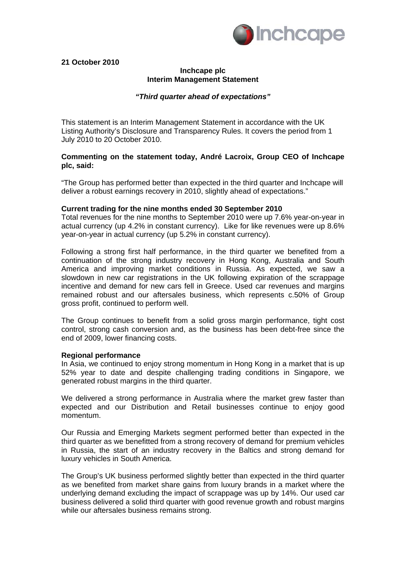

**21 October 2010** 

# **Inchcape plc Interim Management Statement**

## *"Third quarter ahead of expectations"*

This statement is an Interim Management Statement in accordance with the UK Listing Authority's Disclosure and Transparency Rules. It covers the period from 1 July 2010 to 20 October 2010.

#### **Commenting on the statement today, André Lacroix, Group CEO of Inchcape plc, said:**

"The Group has performed better than expected in the third quarter and Inchcape will deliver a robust earnings recovery in 2010, slightly ahead of expectations."

#### **Current trading for the nine months ended 30 September 2010**

Total revenues for the nine months to September 2010 were up 7.6% year-on-year in actual currency (up 4.2% in constant currency). Like for like revenues were up 8.6% year-on-year in actual currency (up 5.2% in constant currency).

Following a strong first half performance, in the third quarter we benefited from a continuation of the strong industry recovery in Hong Kong, Australia and South America and improving market conditions in Russia. As expected, we saw a slowdown in new car registrations in the UK following expiration of the scrappage incentive and demand for new cars fell in Greece. Used car revenues and margins remained robust and our aftersales business, which represents c.50% of Group gross profit, continued to perform well.

The Group continues to benefit from a solid gross margin performance, tight cost control, strong cash conversion and, as the business has been debt-free since the end of 2009, lower financing costs.

#### **Regional performance**

In Asia, we continued to enjoy strong momentum in Hong Kong in a market that is up 52% year to date and despite challenging trading conditions in Singapore, we generated robust margins in the third quarter.

We delivered a strong performance in Australia where the market grew faster than expected and our Distribution and Retail businesses continue to enjoy good momentum.

Our Russia and Emerging Markets segment performed better than expected in the third quarter as we benefitted from a strong recovery of demand for premium vehicles in Russia, the start of an industry recovery in the Baltics and strong demand for luxury vehicles in South America.

The Group's UK business performed slightly better than expected in the third quarter as we benefited from market share gains from luxury brands in a market where the underlying demand excluding the impact of scrappage was up by 14%. Our used car business delivered a solid third quarter with good revenue growth and robust margins while our aftersales business remains strong.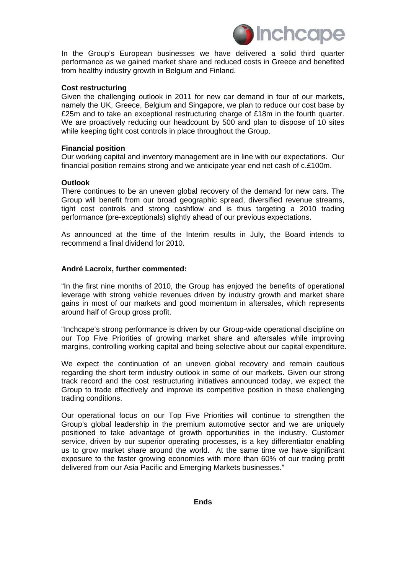

In the Group's European businesses we have delivered a solid third quarter performance as we gained market share and reduced costs in Greece and benefited from healthy industry growth in Belgium and Finland.

#### **Cost restructuring**

Given the challenging outlook in 2011 for new car demand in four of our markets, namely the UK, Greece, Belgium and Singapore, we plan to reduce our cost base by £25m and to take an exceptional restructuring charge of £18m in the fourth quarter. We are proactively reducing our headcount by 500 and plan to dispose of 10 sites while keeping tight cost controls in place throughout the Group.

### **Financial position**

Our working capital and inventory management are in line with our expectations. Our financial position remains strong and we anticipate year end net cash of c.£100m.

#### **Outlook**

There continues to be an uneven global recovery of the demand for new cars. The Group will benefit from our broad geographic spread, diversified revenue streams, tight cost controls and strong cashflow and is thus targeting a 2010 trading performance (pre-exceptionals) slightly ahead of our previous expectations.

As announced at the time of the Interim results in July, the Board intends to recommend a final dividend for 2010.

### **André Lacroix, further commented:**

"In the first nine months of 2010, the Group has enjoyed the benefits of operational leverage with strong vehicle revenues driven by industry growth and market share gains in most of our markets and good momentum in aftersales, which represents around half of Group gross profit.

"Inchcape's strong performance is driven by our Group-wide operational discipline on our Top Five Priorities of growing market share and aftersales while improving margins, controlling working capital and being selective about our capital expenditure.

We expect the continuation of an uneven global recovery and remain cautious regarding the short term industry outlook in some of our markets. Given our strong track record and the cost restructuring initiatives announced today, we expect the Group to trade effectively and improve its competitive position in these challenging trading conditions.

Our operational focus on our Top Five Priorities will continue to strengthen the Group's global leadership in the premium automotive sector and we are uniquely positioned to take advantage of growth opportunities in the industry. Customer service, driven by our superior operating processes, is a key differentiator enabling us to grow market share around the world. At the same time we have significant exposure to the faster growing economies with more than 60% of our trading profit delivered from our Asia Pacific and Emerging Markets businesses."